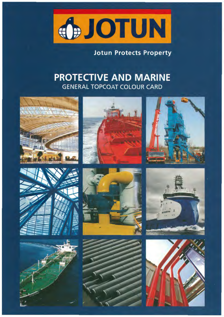

## **Jotun Protects Property**

## **PROTECTIVE AND MARINE GENERAL TOPCOAT COLOUR CARD**

















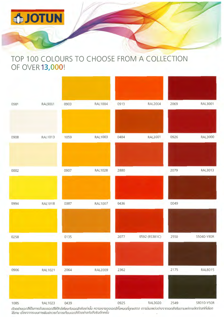

## TOP 100 COLOURS TO CHOOSE FROM A COLLECTION OF OVER 13,000!



ตัวอย่างเฉดสีเป็นการจำลองเฉดสีเห้ไกล้เคียงกับเฉดสีจริงเท่านั้น ความเงาของเฉดสีทั้งหมดที่ถูกแสดง อาจมีผลแต่งต่างจากเฉดสีจริงตามแต่ละผลิตภัณฑ์ที่เลือก ไข้งาน เนื่องจาทระบบการพิมพ์ควรทำการเทียบเฉดสีตัวอย่างกับสีจริงอีกครั้ง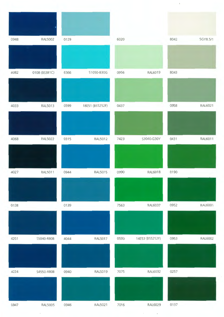| 0948 | <b>RAL5002</b> | 0129 |                 | 6020 |                 | 8042 | 5GY8.5/1 |
|------|----------------|------|-----------------|------|-----------------|------|----------|
|      |                |      |                 |      |                 |      |          |
| 4082 | 0108 (BS381C)  | 6366 | S1050-B30G      | 0956 | RAL6019         | 8043 |          |
| 4033 | RAL5013        | 0599 | 18E51 (BS5252F) | 0437 |                 | 0958 | RAL6021  |
| 4068 | <b>RAL5022</b> | 0315 | RAL5012         | 7423 | S3040-G30Y      | 0431 | RAL6011  |
|      |                |      |                 |      |                 |      |          |
| 4027 | RAL5011        | 0944 | <b>RAL5015</b>  | 0990 | RAL6018         | 0190 |          |
| 0138 |                | 0139 |                 | 7563 | RAL6037         | 0952 | RAL6001  |
| 4201 | S5040-R80B     | 4044 | <b>RAL5017</b>  | 0593 | 14E53 (BS5252F) | 0953 | RAL6002  |
|      |                |      |                 |      |                 |      |          |
| 4224 | S4550-R80B     | 0940 | RAL5019         | 7075 | RAL6032         | 0257 |          |
|      |                |      |                 |      |                 |      |          |
| 0947 | <b>RAL5005</b> | 0946 | RAL5021         | 7016 | RAL6029         | 0137 |          |

 $\hat{\boldsymbol{\theta}}$ 

 $\mathcal{L}_{\text{max}}$ 

 $\ddot{\phantom{0}}$ 

 $\bar{\mathcal{A}}$